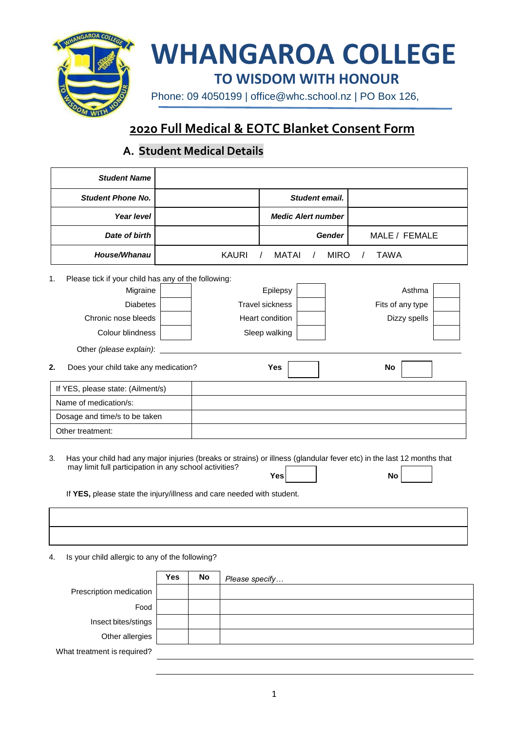

# **WHANGAROA COLLEGE**

**TO WISDOM WITH HONOUR**

Phone: 09 4050199 | [office@whc.school.nz](mailto:office@whc.school.nz) | PO Box 126,

## **2020 Full Medical & EOTC Blanket Consent Form**

## **A. Student Medical Details**

| <b>Student Name</b>                                       |              |                           |                |               |                  |  |
|-----------------------------------------------------------|--------------|---------------------------|----------------|---------------|------------------|--|
| <b>Student Phone No.</b>                                  |              |                           | Student email. |               |                  |  |
| Year level                                                |              | <b>Medic Alert number</b> |                |               |                  |  |
| Date of birth                                             |              |                           |                | <b>Gender</b> | MALE / FEMALE    |  |
| House/Whanau                                              | <b>KAURI</b> | <b>MATAI</b>              |                | <b>MIRO</b>   | <b>TAWA</b>      |  |
| Please tick if your child has any of the following:<br>1. |              |                           |                |               |                  |  |
| Migraine                                                  |              | Epilepsy                  |                |               | Asthma           |  |
| <b>Diabetes</b>                                           |              | <b>Travel sickness</b>    |                |               | Fits of any type |  |
| Chronic nose bleeds                                       |              | Heart condition           |                |               | Dizzy spells     |  |
| Colour blindness                                          |              | Sleep walking             |                |               |                  |  |
| Other (please explain):                                   |              |                           |                |               |                  |  |
| 2.<br>Does your child take any medication?                |              | Yes                       |                |               | No               |  |
| If YES, please state: (Ailment/s)                         |              |                           |                |               |                  |  |
| Name of medication/s:                                     |              |                           |                |               |                  |  |
| Dosage and time/s to be taken                             |              |                           |                |               |                  |  |
| Other treatment:                                          |              |                           |                |               |                  |  |
|                                                           |              |                           |                |               |                  |  |

3. Has your child had any major injuries (breaks or strains) or illness (glandular fever etc) in the last 12 months that may limit full participation in any school activities? **Yes No**

If **YES,** please state the injury/illness and care needed with student.

4. Is your child allergic to any of the following?

|                             | Yes | No | Please specify |
|-----------------------------|-----|----|----------------|
| Prescription medication     |     |    |                |
| Food                        |     |    |                |
| Insect bites/stings         |     |    |                |
| Other allergies             |     |    |                |
| What treatment is required? |     |    |                |
|                             |     |    |                |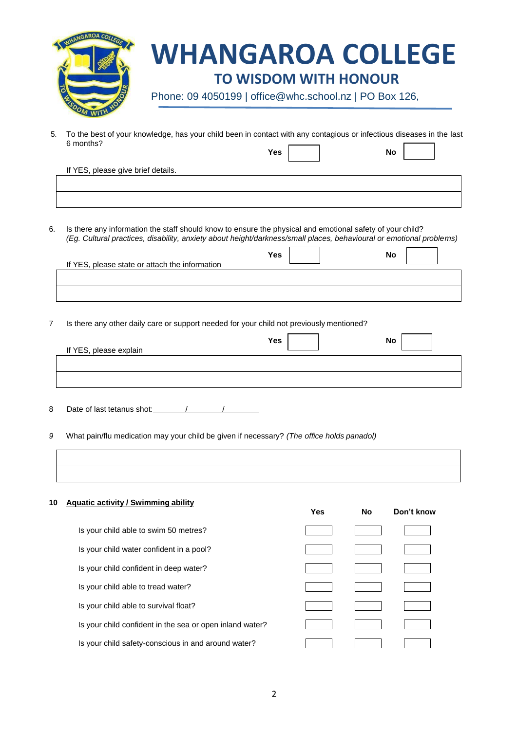| <b>WHANGAROA COLLEGE</b>                               |
|--------------------------------------------------------|
| <b>TO WISDOM WITH HONOUR</b>                           |
| Phone: 09 4050199   office@whc.school.nz   PO Box 126, |
|                                                        |

5. To the best of your knowledge, has your child been in contact with any contagious or infectious diseases in the last 6 months? **Yes No** 

If YES, please give brief details.

6. Is there any information the staff should know to ensure the physical and emotional safety of your child? *(Eg. Cultural practices, disability, anxiety about height/darkness/small places, behavioural or emotional problems)*

| If YES, please state or attach the information | Yes | No |
|------------------------------------------------|-----|----|
|                                                |     |    |
|                                                |     |    |

7 Is there any other daily care or support needed for your child not previously mentioned?

| If YES, please explain | Yes | <b>No</b> |
|------------------------|-----|-----------|
|                        |     |           |
|                        |     |           |
|                        |     |           |

8 Date of last tetanus shot: / / / / / /

*9* What pain/flu medication may your child be given if necessary? *(The office holds panadol)*

| 10 | <b>Aquatic activity / Swimming ability</b>               | <b>Yes</b> | <b>No</b> | Don't know |
|----|----------------------------------------------------------|------------|-----------|------------|
|    | Is your child able to swim 50 metres?                    |            |           |            |
|    | Is your child water confident in a pool?                 |            |           |            |
|    | Is your child confident in deep water?                   |            |           |            |
|    | Is your child able to tread water?                       |            |           |            |
|    | Is your child able to survival float?                    |            |           |            |
|    | Is your child confident in the sea or open inland water? |            |           |            |
|    | Is your child safety-conscious in and around water?      |            |           |            |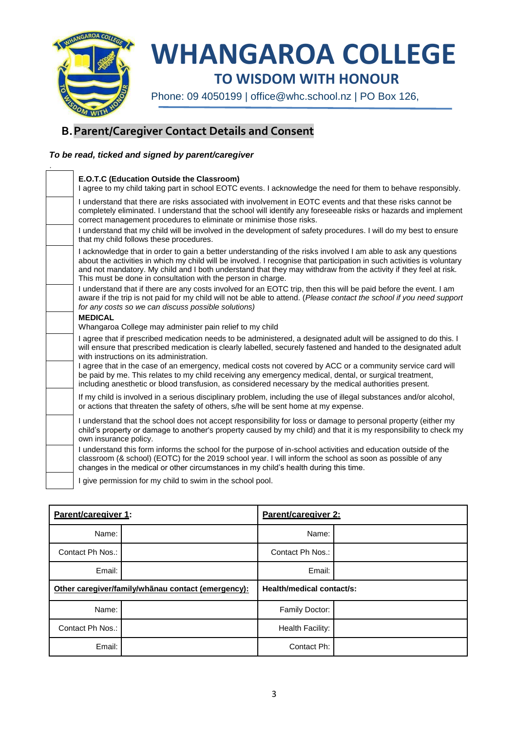

## **WHANGAROA COLLEGE**

**TO WISDOM WITH HONOUR**

Phone: 09 4050199 | [office@whc.school.nz](mailto:office@whc.school.nz) | PO Box 126,

### **B.Parent/Caregiver Contact Details and Consent**

#### *To be read, ticked and signed by parent/caregiver*

| E.O.T.C (Education Outside the Classroom)<br>I agree to my child taking part in school EOTC events. I acknowledge the need for them to behave responsibly.                                                                                                                                                                                                                                                                     |
|--------------------------------------------------------------------------------------------------------------------------------------------------------------------------------------------------------------------------------------------------------------------------------------------------------------------------------------------------------------------------------------------------------------------------------|
| I understand that there are risks associated with involvement in EOTC events and that these risks cannot be<br>completely eliminated. I understand that the school will identify any foreseeable risks or hazards and implement<br>correct management procedures to eliminate or minimise those risks.                                                                                                                         |
| I understand that my child will be involved in the development of safety procedures. I will do my best to ensure<br>that my child follows these procedures.                                                                                                                                                                                                                                                                    |
| I acknowledge that in order to gain a better understanding of the risks involved I am able to ask any questions<br>about the activities in which my child will be involved. I recognise that participation in such activities is voluntary<br>and not mandatory. My child and I both understand that they may withdraw from the activity if they feel at risk.<br>This must be done in consultation with the person in charge. |
| I understand that if there are any costs involved for an EOTC trip, then this will be paid before the event. I am<br>aware if the trip is not paid for my child will not be able to attend. (Please contact the school if you need support<br>for any costs so we can discuss possible solutions)                                                                                                                              |
| <b>MEDICAL</b>                                                                                                                                                                                                                                                                                                                                                                                                                 |
| Whangaroa College may administer pain relief to my child                                                                                                                                                                                                                                                                                                                                                                       |
| I agree that if prescribed medication needs to be administered, a designated adult will be assigned to do this. I<br>will ensure that prescribed medication is clearly labelled, securely fastened and handed to the designated adult<br>with instructions on its administration.                                                                                                                                              |
| I agree that in the case of an emergency, medical costs not covered by ACC or a community service card will<br>be paid by me. This relates to my child receiving any emergency medical, dental, or surgical treatment,<br>including anesthetic or blood transfusion, as considered necessary by the medical authorities present.                                                                                               |
| If my child is involved in a serious disciplinary problem, including the use of illegal substances and/or alcohol,<br>or actions that threaten the safety of others, s/he will be sent home at my expense.                                                                                                                                                                                                                     |
| I understand that the school does not accept responsibility for loss or damage to personal property (either my<br>child's property or damage to another's property caused by my child) and that it is my responsibility to check my<br>own insurance policy.                                                                                                                                                                   |
| I understand this form informs the school for the purpose of in-school activities and education outside of the<br>classroom (& school) (EOTC) for the 2019 school year. I will inform the school as soon as possible of any<br>changes in the medical or other circumstances in my child's health during this time.                                                                                                            |
| I give permission for my child to swim in the school pool.                                                                                                                                                                                                                                                                                                                                                                     |
|                                                                                                                                                                                                                                                                                                                                                                                                                                |

| Parent/caregiver 1:                                |  | Parent/caregiver 2:       |  |
|----------------------------------------------------|--|---------------------------|--|
| Name:                                              |  | Name:                     |  |
| Contact Ph Nos.:                                   |  | Contact Ph Nos.:          |  |
| Email:                                             |  | Email:                    |  |
| Other caregiver/family/whanau contact (emergency): |  | Health/medical contact/s: |  |
|                                                    |  |                           |  |
| Name:                                              |  | Family Doctor:            |  |
| Contact Ph Nos.:                                   |  | Health Facility:          |  |